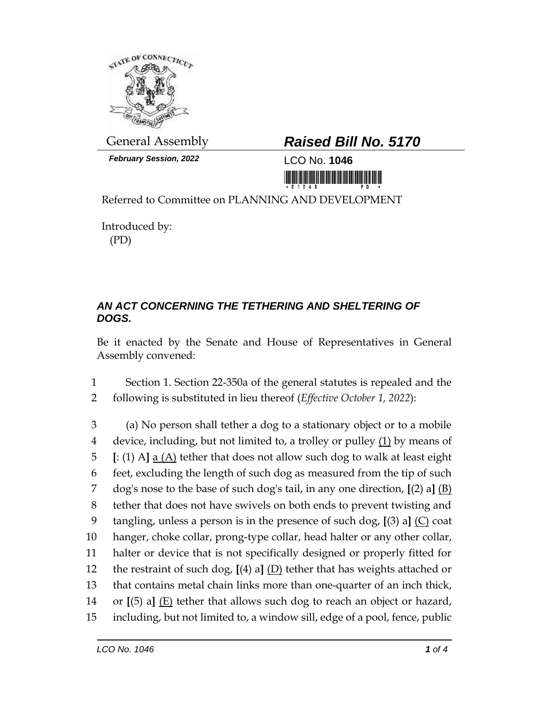

*February Session, 2022* LCO No. **1046**

## General Assembly *Raised Bill No. 5170*

<u>ni kolo kolo komunumni ukumi</u>

Referred to Committee on PLANNING AND DEVELOPMENT

Introduced by: (PD)

## *AN ACT CONCERNING THE TETHERING AND SHELTERING OF DOGS.*

Be it enacted by the Senate and House of Representatives in General Assembly convened:

1 Section 1. Section 22-350a of the general statutes is repealed and the 2 following is substituted in lieu thereof (*Effective October 1, 2022*):

 (a) No person shall tether a dog to a stationary object or to a mobile 4 device, including, but not limited to, a trolley or pulley  $(1)$  by means of **[**: (1) A**]** a (A) tether that does not allow such dog to walk at least eight feet, excluding the length of such dog as measured from the tip of such dog's nose to the base of such dog's tail, in any one direction, **[**(2) a**]** (B) tether that does not have swivels on both ends to prevent twisting and tangling, unless a person is in the presence of such dog, **[**(3) a**]** (C) coat hanger, choke collar, prong-type collar, head halter or any other collar, halter or device that is not specifically designed or properly fitted for the restraint of such dog, **[**(4) a**]** (D) tether that has weights attached or that contains metal chain links more than one-quarter of an inch thick, or **[**(5) a**]** (E) tether that allows such dog to reach an object or hazard, including, but not limited to, a window sill, edge of a pool, fence, public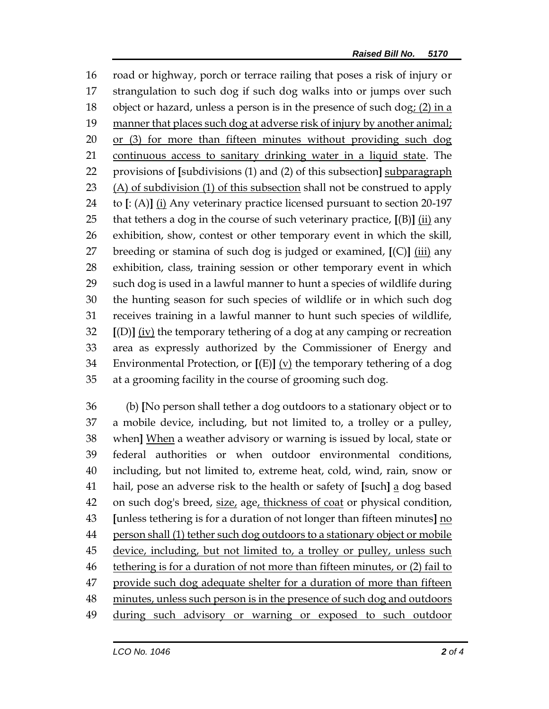road or highway, porch or terrace railing that poses a risk of injury or strangulation to such dog if such dog walks into or jumps over such 18 object or hazard, unless a person is in the presence of such dog:  $(2)$  in a manner that places such dog at adverse risk of injury by another animal; or (3) for more than fifteen minutes without providing such dog continuous access to sanitary drinking water in a liquid state. The provisions of **[**subdivisions (1) and (2) of this subsection**]** subparagraph (A) of subdivision (1) of this subsection shall not be construed to apply to **[**: (A)**]** (i) Any veterinary practice licensed pursuant to section 20-197 that tethers a dog in the course of such veterinary practice, **[**(B)**]** (ii) any exhibition, show, contest or other temporary event in which the skill, breeding or stamina of such dog is judged or examined, **[**(C)**]** (iii) any exhibition, class, training session or other temporary event in which such dog is used in a lawful manner to hunt a species of wildlife during the hunting season for such species of wildlife or in which such dog receives training in a lawful manner to hunt such species of wildlife, **[**(D)**]** (iv) the temporary tethering of a dog at any camping or recreation area as expressly authorized by the Commissioner of Energy and Environmental Protection, or **[**(E)**]** (v) the temporary tethering of a dog at a grooming facility in the course of grooming such dog.

 (b) **[**No person shall tether a dog outdoors to a stationary object or to a mobile device, including, but not limited to, a trolley or a pulley, when**]** When a weather advisory or warning is issued by local, state or federal authorities or when outdoor environmental conditions, including, but not limited to, extreme heat, cold, wind, rain, snow or hail, pose an adverse risk to the health or safety of **[**such**]** a dog based 42 on such dog's breed, size, age, thickness of coat or physical condition, **[**unless tethering is for a duration of not longer than fifteen minutes**]** no 44 person shall (1) tether such dog outdoors to a stationary object or mobile device, including, but not limited to, a trolley or pulley, unless such tethering is for a duration of not more than fifteen minutes, or (2) fail to provide such dog adequate shelter for a duration of more than fifteen 48 minutes, unless such person is in the presence of such dog and outdoors during such advisory or warning or exposed to such outdoor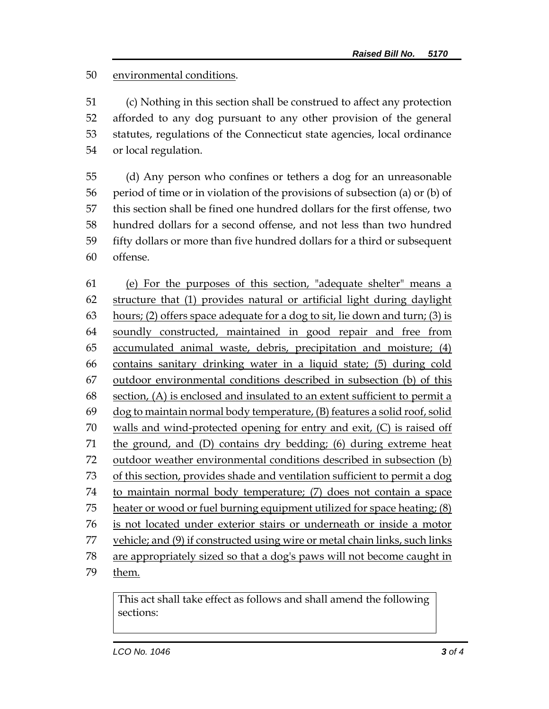## environmental conditions.

 (c) Nothing in this section shall be construed to affect any protection afforded to any dog pursuant to any other provision of the general statutes, regulations of the Connecticut state agencies, local ordinance or local regulation.

 (d) Any person who confines or tethers a dog for an unreasonable period of time or in violation of the provisions of subsection (a) or (b) of this section shall be fined one hundred dollars for the first offense, two hundred dollars for a second offense, and not less than two hundred fifty dollars or more than five hundred dollars for a third or subsequent offense.

 (e) For the purposes of this section, "adequate shelter" means a structure that (1) provides natural or artificial light during daylight hours; (2) offers space adequate for a dog to sit, lie down and turn; (3) is soundly constructed, maintained in good repair and free from accumulated animal waste, debris, precipitation and moisture; (4) contains sanitary drinking water in a liquid state; (5) during cold outdoor environmental conditions described in subsection (b) of this section, (A) is enclosed and insulated to an extent sufficient to permit a dog to maintain normal body temperature, (B) features a solid roof, solid walls and wind-protected opening for entry and exit, (C) is raised off the ground, and (D) contains dry bedding; (6) during extreme heat outdoor weather environmental conditions described in subsection (b) of this section, provides shade and ventilation sufficient to permit a dog to maintain normal body temperature; (7) does not contain a space heater or wood or fuel burning equipment utilized for space heating; (8) is not located under exterior stairs or underneath or inside a motor vehicle; and (9) if constructed using wire or metal chain links, such links are appropriately sized so that a dog's paws will not become caught in them.

This act shall take effect as follows and shall amend the following sections: